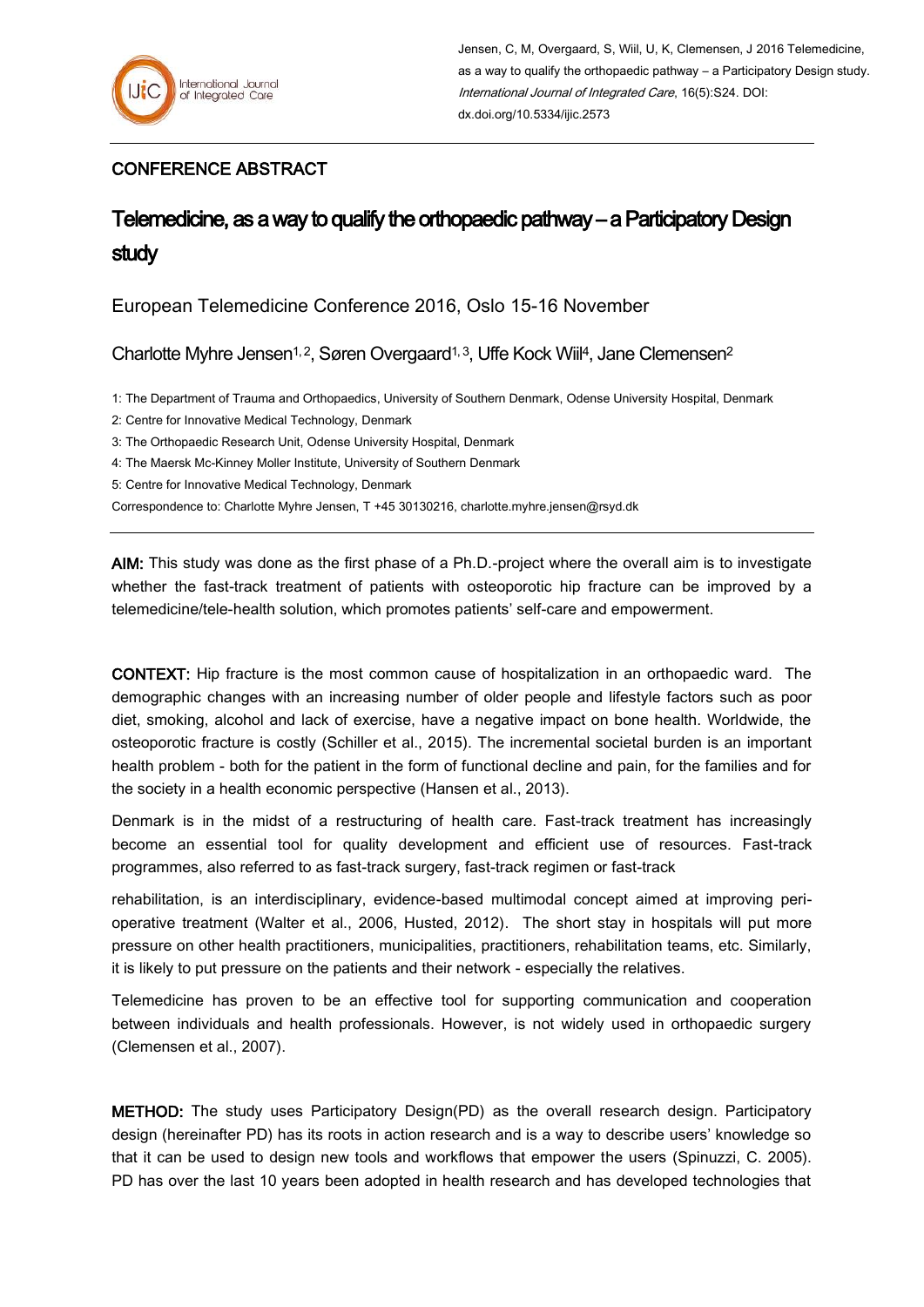## CONFERENCE ABSTRACT

## Telemedicine, as a way to qualify the orthopaedic pathway – a Participatory Design study

European Telemedicine Conference 2016, Oslo 15-16 November

Charlotte Myhre Jensen<sup>1, 2</sup>, Søren Overgaard<sup>1, 3</sup>, Uffe Kock Wiil<sup>4</sup>, Jane Clemensen<sup>2</sup>

1: The Department of Trauma and Orthopaedics, University of Southern Denmark, Odense University Hospital, Denmark

2: Centre for Innovative Medical Technology, Denmark

3: The Orthopaedic Research Unit, Odense University Hospital, Denmark

4: The Maersk Mc-Kinney Moller Institute, University of Southern Denmark

5: Centre for Innovative Medical Technology, Denmark

Correspondence to: Charlotte Myhre Jensen, T +45 30130216, [charlotte.myhre.jensen@rsyd.dk](mailto:charlotte.myhre.jensen@rsyd.dk)

AIM: This study was done as the first phase of a Ph.D.-project where the overall aim is to investigate whether the fast-track treatment of patients with osteoporotic hip fracture can be improved by a telemedicine/tele-health solution, which promotes patients' self-care and empowerment.

CONTEXT: Hip fracture is the most common cause of hospitalization in an orthopaedic ward. The demographic changes with an increasing number of older people and lifestyle factors such as poor diet, smoking, alcohol and lack of exercise, have a negative impact on bone health. Worldwide, the osteoporotic fracture is costly (Schiller et al., 2015). The incremental societal burden is an important health problem - both for the patient in the form of functional decline and pain, for the families and for the society in a health economic perspective (Hansen et al., 2013).

Denmark is in the midst of a restructuring of health care. Fast-track treatment has increasingly become an essential tool for quality development and efficient use of resources. Fast-track programmes, also referred to as fast-track surgery, fast-track regimen or fast-track

rehabilitation, is an interdisciplinary, evidence-based multimodal concept aimed at improving perioperative treatment (Walter et al., 2006, Husted, 2012). The short stay in hospitals will put more pressure on other health practitioners, municipalities, practitioners, rehabilitation teams, etc. Similarly, it is likely to put pressure on the patients and their network - especially the relatives.

Telemedicine has proven to be an effective tool for supporting communication and cooperation between individuals and health professionals. However, is not widely used in orthopaedic surgery (Clemensen et al., 2007).

METHOD: The study uses Participatory Design(PD) as the overall research design. Participatory design (hereinafter PD) has its roots in action research and is a way to describe users' knowledge so that it can be used to design new tools and workflows that empower the users (Spinuzzi, C. 2005). PD has over the last 10 years been adopted in health research and has developed technologies that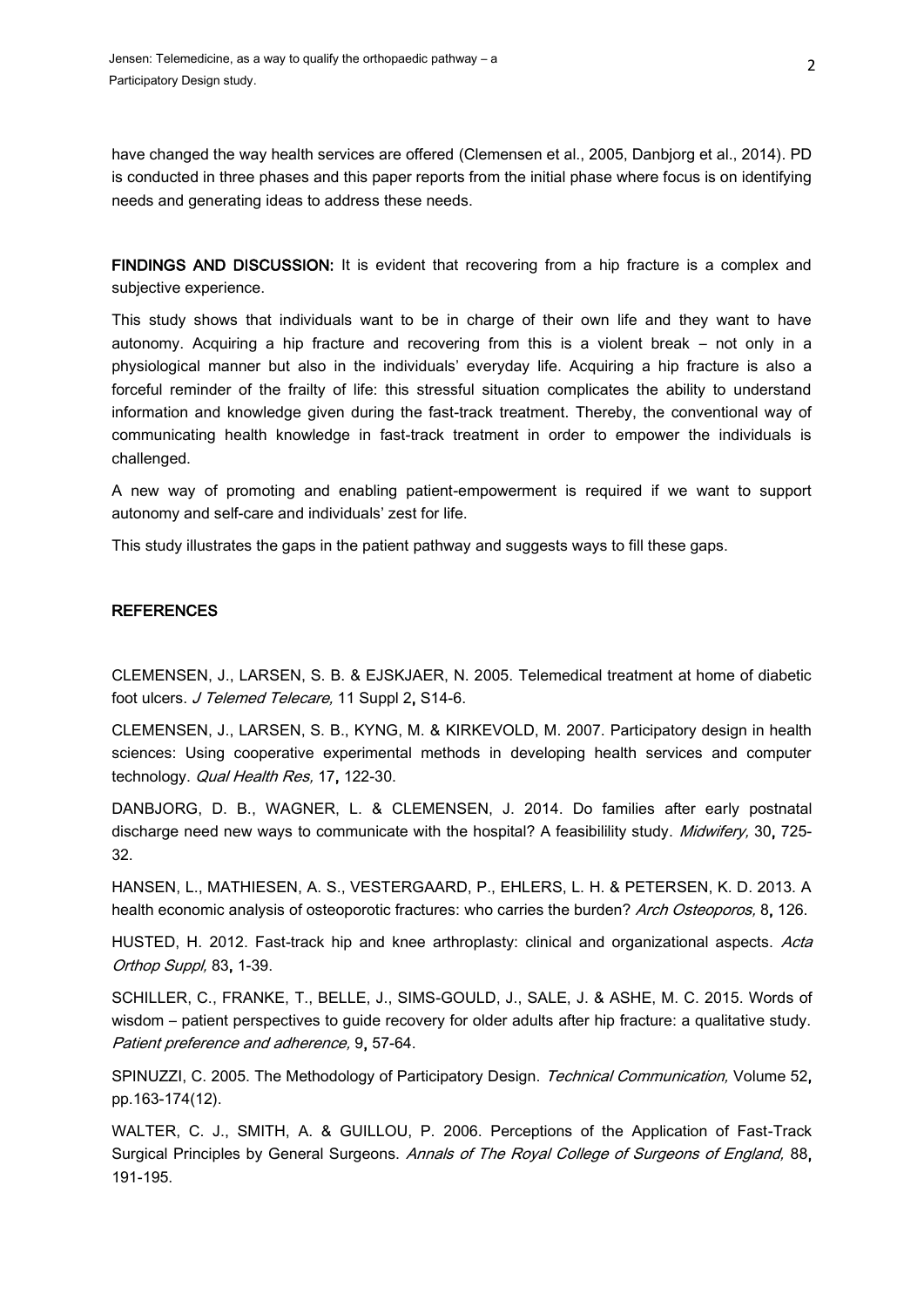have changed the way health services are offered (Clemensen et al., 2005, Danbjorg et al., 2014). PD is conducted in three phases and this paper reports from the initial phase where focus is on identifying needs and generating ideas to address these needs.

FINDINGS AND DISCUSSION: It is evident that recovering from a hip fracture is a complex and subjective experience.

This study shows that individuals want to be in charge of their own life and they want to have autonomy. Acquiring a hip fracture and recovering from this is a violent break – not only in a physiological manner but also in the individuals' everyday life. Acquiring a hip fracture is also a forceful reminder of the frailty of life: this stressful situation complicates the ability to understand information and knowledge given during the fast-track treatment. Thereby, the conventional way of communicating health knowledge in fast-track treatment in order to empower the individuals is challenged.

A new way of promoting and enabling patient-empowerment is required if we want to support autonomy and self-care and individuals' zest for life.

This study illustrates the gaps in the patient pathway and suggests ways to fill these gaps.

## **REFERENCES**

CLEMENSEN, J., LARSEN, S. B. & EJSKJAER, N. 2005. Telemedical treatment at home of diabetic foot ulcers. J Telemed Telecare, 11 Suppl 2, S14-6.

CLEMENSEN, J., LARSEN, S. B., KYNG, M. & KIRKEVOLD, M. 2007. Participatory design in health sciences: Using cooperative experimental methods in developing health services and computer technology. Qual Health Res, 17, 122-30.

DANBJORG, D. B., WAGNER, L. & CLEMENSEN, J. 2014. Do families after early postnatal discharge need new ways to communicate with the hospital? A feasibilility study. Midwifery, 30, 725-32.

HANSEN, L., MATHIESEN, A. S., VESTERGAARD, P., EHLERS, L. H. & PETERSEN, K. D. 2013. A health economic analysis of osteoporotic fractures: who carries the burden? Arch Osteoporos, 8, 126.

HUSTED, H. 2012. Fast-track hip and knee arthroplasty: clinical and organizational aspects. Acta Orthop Suppl, 83, 1-39.

SCHILLER, C., FRANKE, T., BELLE, J., SIMS-GOULD, J., SALE, J. & ASHE, M. C. 2015. Words of wisdom – patient perspectives to guide recovery for older adults after hip fracture: a qualitative study. Patient preference and adherence, 9, 57-64.

SPINUZZI, C. 2005. The Methodology of Participatory Design. Technical Communication, Volume 52, pp.163-174(12).

WALTER, C. J., SMITH, A. & GUILLOU, P. 2006. Perceptions of the Application of Fast-Track Surgical Principles by General Surgeons. Annals of The Royal College of Surgeons of England, 88, 191-195.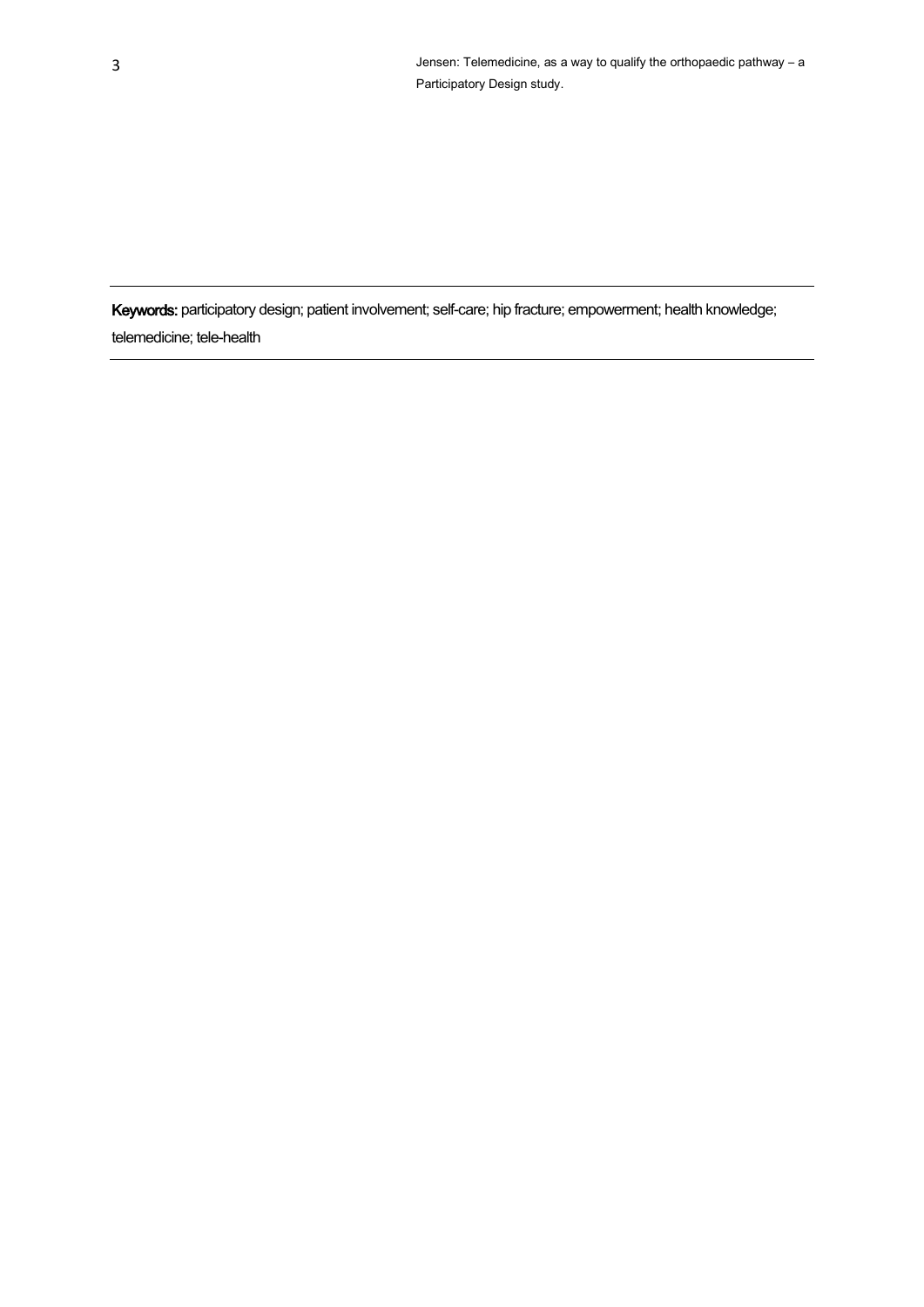Keywords: participatory design; patient involvement; self-care; hip fracture; empowerment; health knowledge; telemedicine; tele-health